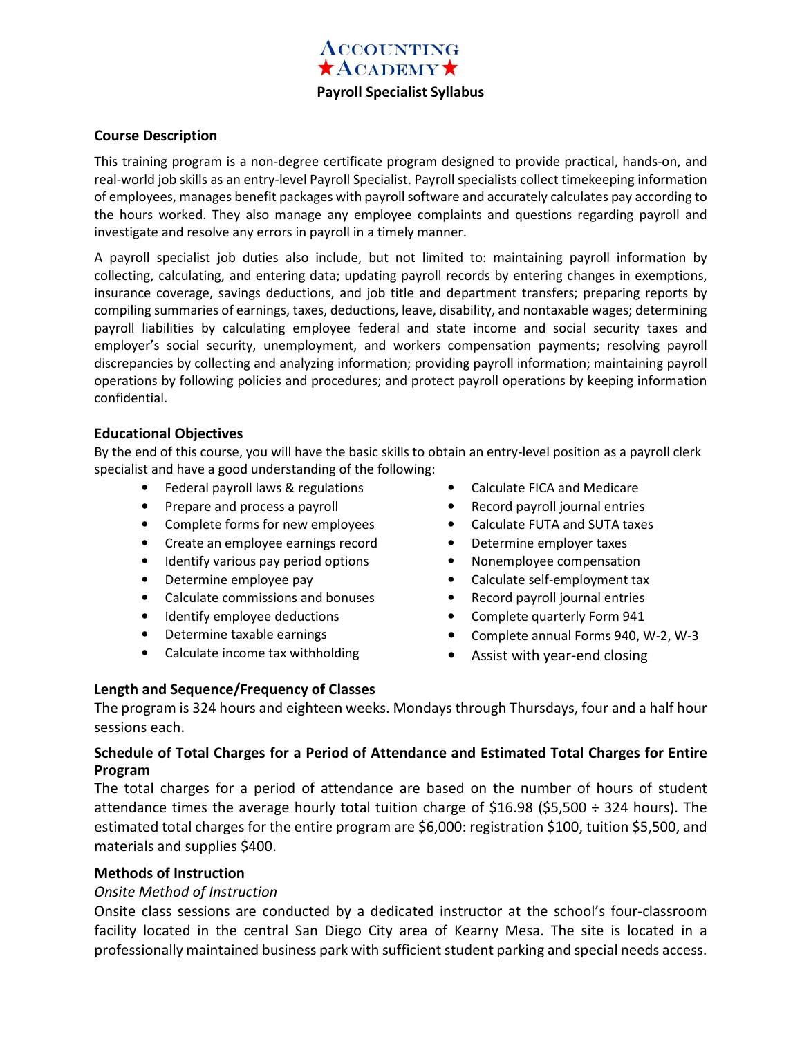

#### **Course Description**

This training program is a non-degree certificate program designed to provide practical, hands-on, and real-world job skills as an entry-level Payroll Specialist. Payroll specialists collect timekeeping information of employees, manages benefit packages with payroll software and accurately calculates pay according to the hours worked. They also manage any employee complaints and questions regarding payroll and investigate and resolve any errors in payroll in a timely manner.

A payroll specialist job duties also include, but not limited to: maintaining payroll information by collecting, calculating, and entering data; updating payroll records by entering changes in exemptions, insurance coverage, savings deductions, and job title and department transfers; preparing reports by compiling summaries of earnings, taxes, deductions, leave, disability, and nontaxable wages; determining payroll liabilities by calculating employee federal and state income and social security taxes and employer's social security, unemployment, and workers compensation payments; resolving payroll discrepancies by collecting and analyzing information; providing payroll information; maintaining payroll operations by following policies and procedures; and protect payroll operations by keeping information confidential.

#### **Educational Objectives**

By the end of this course, you will have the basic skills to obtain an entry-level position as a payroll clerk specialist and have a good understanding of the following:

- Federal payroll laws & regulations
- Prepare and process a payroll
- Complete forms for new employees
- Create an employee earnings record
- Identify various pay period options
- Determine employee pay
- Calculate commissions and bonuses
- Identify employee deductions
- Determine taxable earnings
- Calculate income tax withholding
- Calculate FICA and Medicare
- Record payroll journal entries
- Calculate FUTA and SUTA taxes
- Determine employer taxes
- Nonemployee compensation
- Calculate self-employment tax
- Record payroll journal entries
- Complete quarterly Form 941
- Complete annual Forms 940, W-2, W-3
- Assist with year-end closing

## **Length and Sequence/Frequency of Classes**

The program is 324 hours and eighteen weeks. Mondays through Thursdays, four and a half hour sessions each.

## **Schedule of Total Charges for a Period of Attendance and Estimated Total Charges for Entire Program**

The total charges for a period of attendance are based on the number of hours of student attendance times the average hourly total tuition charge of \$16.98 (\$5,500  $\div$  324 hours). The estimated total charges for the entire program are \$6,000: registration \$100, tuition \$5,500, and materials and supplies \$400.

## **Methods of Instruction**

## *Onsite Method of Instruction*

Onsite class sessions are conducted by a dedicated instructor at the school's four-classroom facility located in the central San Diego City area of Kearny Mesa. The site is located in a professionally maintained business park with sufficient student parking and special needs access.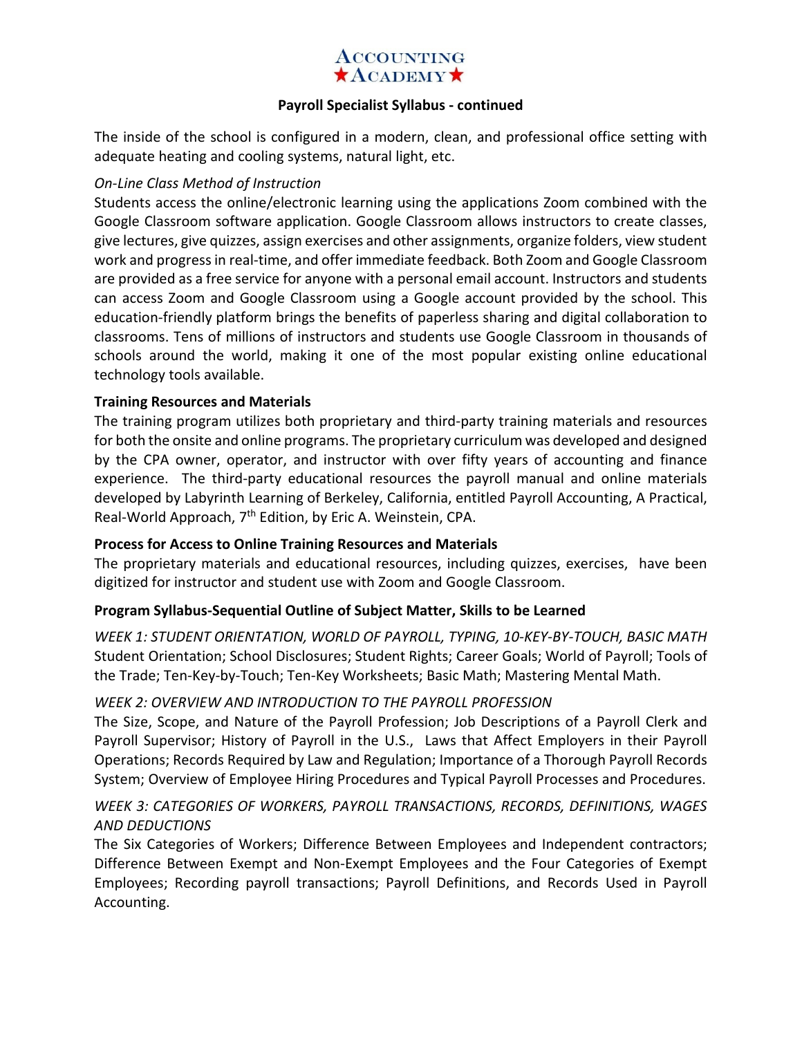# **ACCOUNTING**  $\bigstar$ ACADEMY $\bigstar$

## **Payroll Specialist Syllabus - continued**

The inside of the school is configured in a modern, clean, and professional office setting with adequate heating and cooling systems, natural light, etc.

## *On-Line Class Method of Instruction*

Students access the online/electronic learning using the applications Zoom combined with the Google Classroom software application. Google Classroom allows instructors to create classes, give lectures, give quizzes, assign exercises and other assignments, organize folders, view student work and progress in real-time, and offer immediate feedback. Both Zoom and Google Classroom are provided as a free service for anyone with a personal email account. Instructors and students can access Zoom and Google Classroom using a Google account provided by the school. This education-friendly platform brings the benefits of paperless sharing and digital collaboration to classrooms. Tens of millions of instructors and students use Google Classroom in thousands of schools around the world, making it one of the most popular existing online educational technology tools available.

## **Training Resources and Materials**

The training program utilizes both proprietary and third-party training materials and resources for both the onsite and online programs. The proprietary curriculum was developed and designed by the CPA owner, operator, and instructor with over fifty years of accounting and finance experience. The third-party educational resources the payroll manual and online materials developed by Labyrinth Learning of Berkeley, California, entitled Payroll Accounting, A Practical, Real-World Approach, 7<sup>th</sup> Edition, by Eric A. Weinstein, CPA.

# **Process for Access to Online Training Resources and Materials**

The proprietary materials and educational resources, including quizzes, exercises, have been digitized for instructor and student use with Zoom and Google Classroom.

## **Program Syllabus-Sequential Outline of Subject Matter, Skills to be Learned**

*WEEK 1: STUDENT ORIENTATION, WORLD OF PAYROLL, TYPING, 10-KEY-BY-TOUCH, BASIC MATH*  Student Orientation; School Disclosures; Student Rights; Career Goals; World of Payroll; Tools of the Trade; Ten-Key-by-Touch; Ten-Key Worksheets; Basic Math; Mastering Mental Math.

## *WEEK 2: OVERVIEW AND INTRODUCTION TO THE PAYROLL PROFESSION*

The Size, Scope, and Nature of the Payroll Profession; Job Descriptions of a Payroll Clerk and Payroll Supervisor; History of Payroll in the U.S., Laws that Affect Employers in their Payroll Operations; Records Required by Law and Regulation; Importance of a Thorough Payroll Records System; Overview of Employee Hiring Procedures and Typical Payroll Processes and Procedures.

# *WEEK 3: CATEGORIES OF WORKERS, PAYROLL TRANSACTIONS, RECORDS, DEFINITIONS, WAGES AND DEDUCTIONS*

The Six Categories of Workers; Difference Between Employees and Independent contractors; Difference Between Exempt and Non-Exempt Employees and the Four Categories of Exempt Employees; Recording payroll transactions; Payroll Definitions, and Records Used in Payroll Accounting.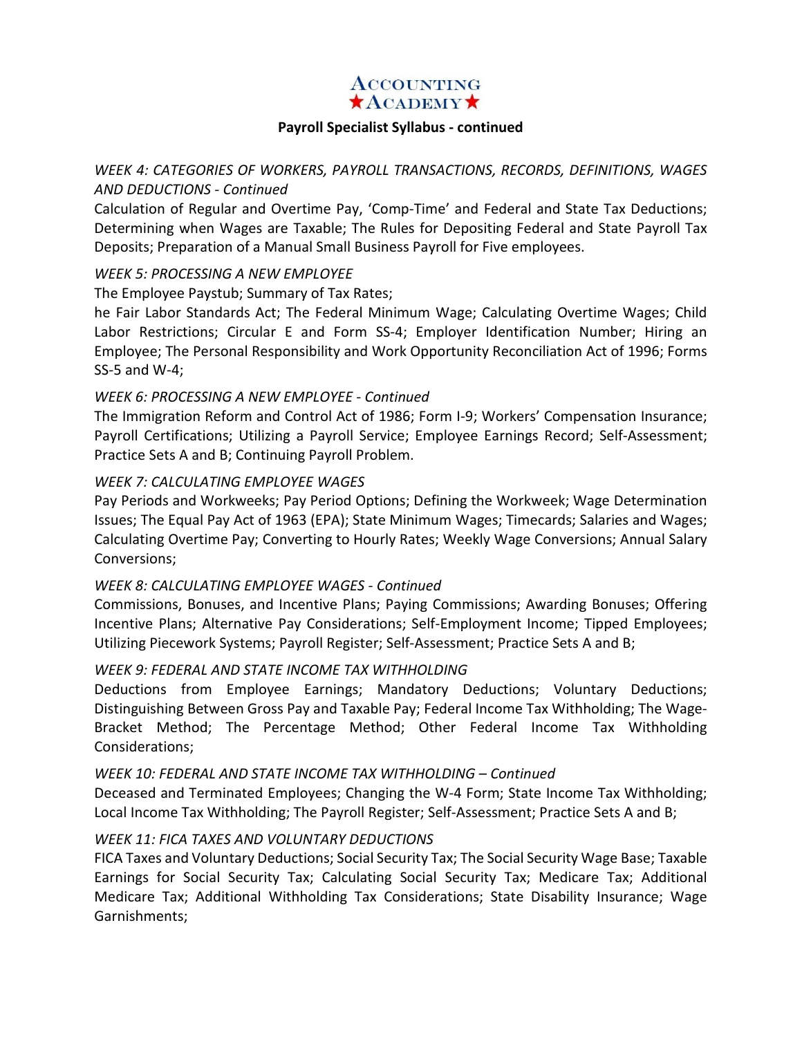## **ACCOUNTING**  $\star$ ACADEMY $\star$

#### **Payroll Specialist Syllabus - continued**

# *WEEK 4: CATEGORIES OF WORKERS, PAYROLL TRANSACTIONS, RECORDS, DEFINITIONS, WAGES AND DEDUCTIONS - Continued*

Calculation of Regular and Overtime Pay, 'Comp-Time' and Federal and State Tax Deductions; Determining when Wages are Taxable; The Rules for Depositing Federal and State Payroll Tax Deposits; Preparation of a Manual Small Business Payroll for Five employees.

## *WEEK 5: PROCESSING A NEW EMPLOYEE*

The Employee Paystub; Summary of Tax Rates;

he Fair Labor Standards Act; The Federal Minimum Wage; Calculating Overtime Wages; Child Labor Restrictions; Circular E and Form SS-4; Employer Identification Number; Hiring an Employee; The Personal Responsibility and Work Opportunity Reconciliation Act of 1996; Forms SS-5 and W-4; Ì

## *WEEK 6: PROCESSING A NEW EMPLOYEE - Continued*

The Immigration Reform and Control Act of 1986; Form I-9; Workers' Compensation Insurance; Payroll Certifications; Utilizing a Payroll Service; Employee Earnings Record; Self-Assessment; Practice Sets A and B; Continuing Payroll Problem.

## *WEEK 7: CALCULATING EMPLOYEE WAGES*

Pay Periods and Workweeks; Pay Period Options; Defining the Workweek; Wage Determination Issues; The Equal Pay Act of 1963 (EPA); State Minimum Wages; Timecards; Salaries and Wages; Calculating Overtime Pay; Converting to Hourly Rates; Weekly Wage Conversions; Annual Salary Conversions;

## *WEEK 8: CALCULATING EMPLOYEE WAGES - Continued*

Commissions, Bonuses, and Incentive Plans; Paying Commissions; Awarding Bonuses; Offering Incentive Plans; Alternative Pay Considerations; Self-Employment Income; Tipped Employees; Utilizing Piecework Systems; Payroll Register; Self-Assessment; Practice Sets A and B;

## *WEEK 9: FEDERAL AND STATE INCOME TAX WITHHOLDING*

Deductions from Employee Earnings; Mandatory Deductions; Voluntary Deductions; Distinguishing Between Gross Pay and Taxable Pay; Federal Income Tax Withholding; The Wage-Bracket Method; The Percentage Method; Other Federal Income Tax Withholding Considerations;

## *WEEK 10: FEDERAL AND STATE INCOME TAX WITHHOLDING – Continued*

Deceased and Terminated Employees; Changing the W-4 Form; State Income Tax Withholding; Local Income Tax Withholding; The Payroll Register; Self-Assessment; Practice Sets A and B;

# *WEEK 11: FICA TAXES AND VOLUNTARY DEDUCTIONS*

FICA Taxes and Voluntary Deductions; Social Security Tax; The Social Security Wage Base; Taxable Earnings for Social Security Tax; Calculating Social Security Tax; Medicare Tax; Additional Medicare Tax; Additional Withholding Tax Considerations; State Disability Insurance; Wage Garnishments;